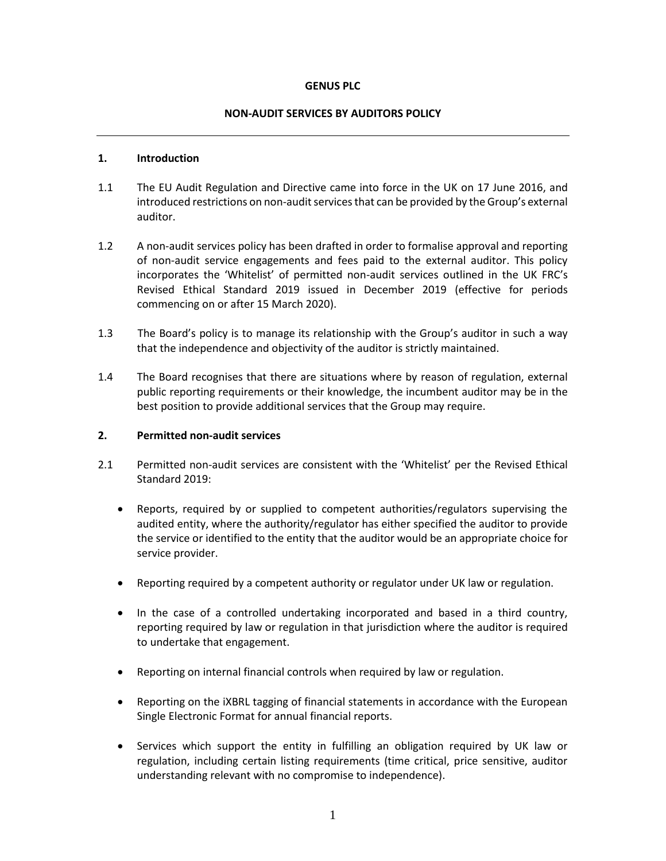## **GENUS PLC**

## **NON-AUDIT SERVICES BY AUDITORS POLICY**

## **1. Introduction**

- 1.1 The EU Audit Regulation and Directive came into force in the UK on 17 June 2016, and introduced restrictions on non-audit services that can be provided by the Group's external auditor.
- 1.2 A non-audit services policy has been drafted in order to formalise approval and reporting of non-audit service engagements and fees paid to the external auditor. This policy incorporates the 'Whitelist' of permitted non-audit services outlined in the UK FRC's Revised Ethical Standard 2019 issued in December 2019 (effective for periods commencing on or after 15 March 2020).
- 1.3 The Board's policy is to manage its relationship with the Group's auditor in such a way that the independence and objectivity of the auditor is strictly maintained.
- 1.4 The Board recognises that there are situations where by reason of regulation, external public reporting requirements or their knowledge, the incumbent auditor may be in the best position to provide additional services that the Group may require.

## **2. Permitted non-audit services**

- 2.1 Permitted non-audit services are consistent with the 'Whitelist' per the Revised Ethical Standard 2019:
	- Reports, required by or supplied to competent authorities/regulators supervising the audited entity, where the authority/regulator has either specified the auditor to provide the service or identified to the entity that the auditor would be an appropriate choice for service provider.
	- Reporting required by a competent authority or regulator under UK law or regulation.
	- In the case of a controlled undertaking incorporated and based in a third country, reporting required by law or regulation in that jurisdiction where the auditor is required to undertake that engagement.
	- Reporting on internal financial controls when required by law or regulation.
	- Reporting on the iXBRL tagging of financial statements in accordance with the European Single Electronic Format for annual financial reports.
	- Services which support the entity in fulfilling an obligation required by UK law or regulation, including certain listing requirements (time critical, price sensitive, auditor understanding relevant with no compromise to independence).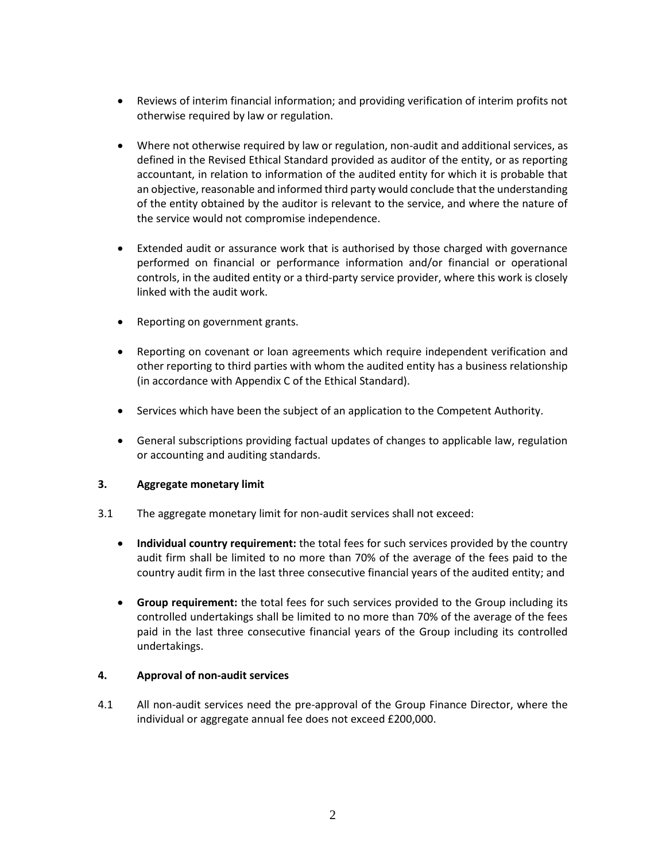- Reviews of interim financial information; and providing verification of interim profits not otherwise required by law or regulation.
- Where not otherwise required by law or regulation, non-audit and additional services, as defined in the Revised Ethical Standard provided as auditor of the entity, or as reporting accountant, in relation to information of the audited entity for which it is probable that an objective, reasonable and informed third party would conclude that the understanding of the entity obtained by the auditor is relevant to the service, and where the nature of the service would not compromise independence.
- Extended audit or assurance work that is authorised by those charged with governance performed on financial or performance information and/or financial or operational controls, in the audited entity or a third-party service provider, where this work is closely linked with the audit work.
- Reporting on government grants.
- Reporting on covenant or loan agreements which require independent verification and other reporting to third parties with whom the audited entity has a business relationship (in accordance with Appendix C of the Ethical Standard).
- Services which have been the subject of an application to the Competent Authority.
- General subscriptions providing factual updates of changes to applicable law, regulation or accounting and auditing standards.

## **3. Aggregate monetary limit**

- 3.1 The aggregate monetary limit for non-audit services shall not exceed:
	- **Individual country requirement:** the total fees for such services provided by the country audit firm shall be limited to no more than 70% of the average of the fees paid to the country audit firm in the last three consecutive financial years of the audited entity; and
	- **Group requirement:** the total fees for such services provided to the Group including its controlled undertakings shall be limited to no more than 70% of the average of the fees paid in the last three consecutive financial years of the Group including its controlled undertakings.

## **4. Approval of non-audit services**

4.1 All non-audit services need the pre-approval of the Group Finance Director, where the individual or aggregate annual fee does not exceed £200,000.